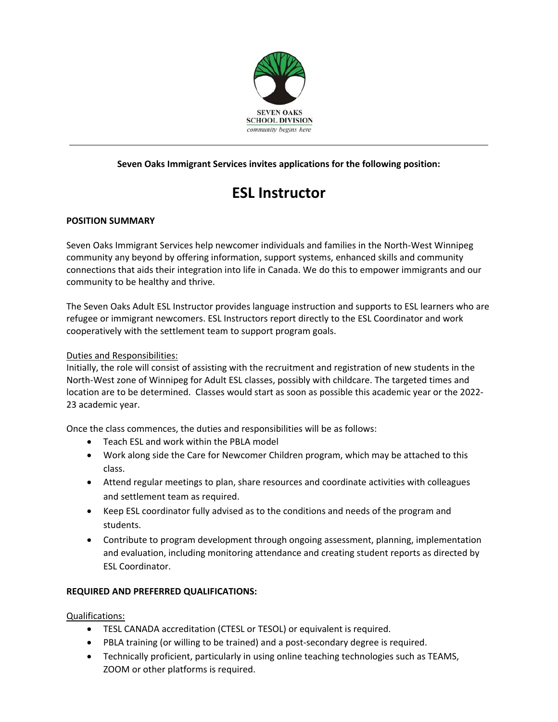

# **Seven Oaks Immigrant Services invites applications for the following position:**

# **ESL Instructor**

## **POSITION SUMMARY**

Seven Oaks Immigrant Services help newcomer individuals and families in the North‐West Winnipeg community any beyond by offering information, support systems, enhanced skills and community connections that aids their integration into life in Canada. We do this to empower immigrants and our community to be healthy and thrive.

The Seven Oaks Adult ESL Instructor provides language instruction and supports to ESL learners who are refugee or immigrant newcomers. ESL Instructors report directly to the ESL Coordinator and work cooperatively with the settlement team to support program goals.

#### Duties and Responsibilities:

Initially, the role will consist of assisting with the recruitment and registration of new students in the North‐West zone of Winnipeg for Adult ESL classes, possibly with childcare. The targeted times and location are to be determined. Classes would start as soon as possible this academic year or the 2022‐ 23 academic year.

Once the class commences, the duties and responsibilities will be as follows:

- Teach ESL and work within the PBLA model
- Work along side the Care for Newcomer Children program, which may be attached to this class.
- Attend regular meetings to plan, share resources and coordinate activities with colleagues and settlement team as required.
- Keep ESL coordinator fully advised as to the conditions and needs of the program and students.
- Contribute to program development through ongoing assessment, planning, implementation and evaluation, including monitoring attendance and creating student reports as directed by ESL Coordinator.

## **REQUIRED AND PREFERRED QUALIFICATIONS:**

Qualifications:

- TESL CANADA accreditation (CTESL or TESOL) or equivalent is required.
- PBLA training (or willing to be trained) and a post-secondary degree is required.
- Technically proficient, particularly in using online teaching technologies such as TEAMS, ZOOM or other platforms is required.